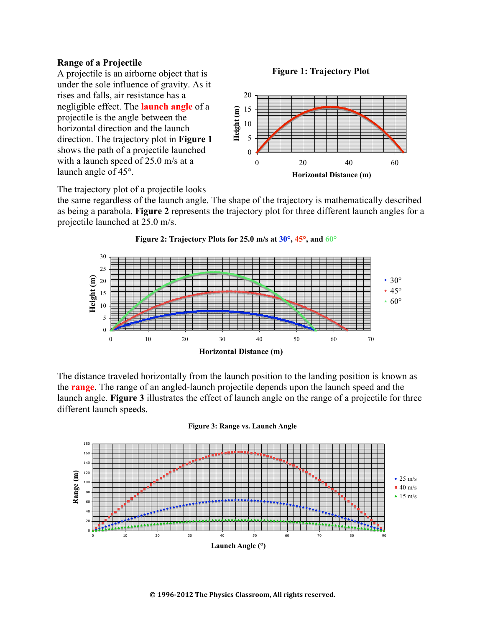## **Range of a Projectile**

**Figure 1: Trajectory Plot**

A projectile is an airborne object that is under the sole influence of gravity. As it rises and falls, air resistance has a negligible effect. The **launch angle** of a projectile is the angle between the horizontal direction and the launch direction. The trajectory plot in **Figure 1** shows the path of a projectile launched with a launch speed of 25.0 m/s at a launch angle of 45°.



The trajectory plot of a projectile looks

the same regardless of the launch angle. The shape of the trajectory is mathematically described as being a parabola. **Figure 2** represents the trajectory plot for three different launch angles for a projectile launched at 25.0 m/s.





The distance traveled horizontally from the launch position to the landing position is known as the **range**. The range of an angled-launch projectile depends upon the launch speed and the launch angle. **Figure 3** illustrates the effect of launch angle on the range of a projectile for three different launch speeds.



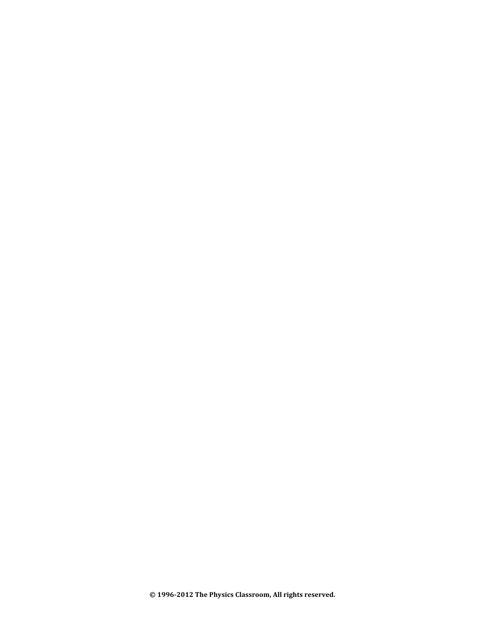$© 1996-2012$  The Physics Classroom, All rights reserved.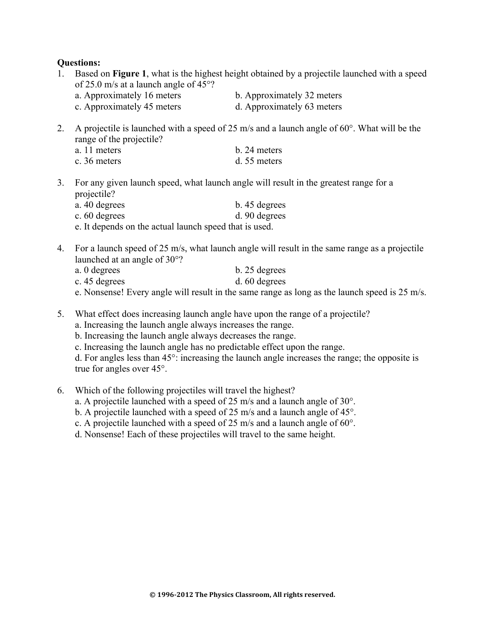## **Questions:**

- 1. Based on **Figure 1**, what is the highest height obtained by a projectile launched with a speed of 25.0 m/s at a launch angle of 45°?
	- a. Approximately 16 meters b. Approximately 32 meters
	- c. Approximately 45 meters d. Approximately 63 meters
- -
- 2. A projectile is launched with a speed of 25 m/s and a launch angle of 60°. What will be the range of the projectile?
	- a. 11 meters b. 24 meters c. 36 meters d. 55 meters
- 3. For any given launch speed, what launch angle will result in the greatest range for a projectile?
	- a. 40 degrees b. 45 degrees c. 60 degrees d. 90 degrees
	- e. It depends on the actual launch speed that is used.
- 4. For a launch speed of 25 m/s, what launch angle will result in the same range as a projectile launched at an angle of 30°?
	- a. 0 degrees b. 25 degrees
	- c. 45 degrees d. 60 degrees
	- e. Nonsense! Every angle will result in the same range as long as the launch speed is 25 m/s.
- 5. What effect does increasing launch angle have upon the range of a projectile?
	- a. Increasing the launch angle always increases the range.
	- b. Increasing the launch angle always decreases the range.
	- c. Increasing the launch angle has no predictable effect upon the range.

d. For angles less than 45°: increasing the launch angle increases the range; the opposite is true for angles over 45°.

- 6. Which of the following projectiles will travel the highest?
	- a. A projectile launched with a speed of 25 m/s and a launch angle of 30°.
	- b. A projectile launched with a speed of 25 m/s and a launch angle of 45°.
	- c. A projectile launched with a speed of 25 m/s and a launch angle of 60°.
	- d. Nonsense! Each of these projectiles will travel to the same height.